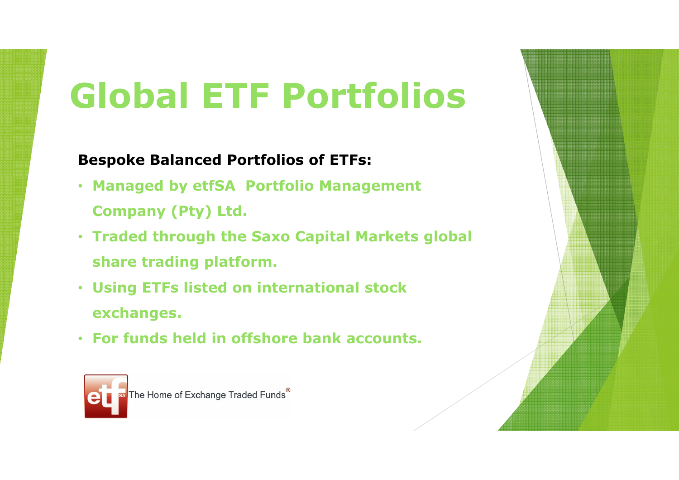# **Global ETF Portfolios**

### **Bespoke Balanced Portfolios of ETFs:**

- **Managed by etfSA Portfolio Management**
- **Company (Pty) Ltd.**
- **Traded through the Saxo Capital Markets global share trading platform.**
- **Using ETFs listed on international stock exchanges.**
- **For funds held in offshore bank accounts.**

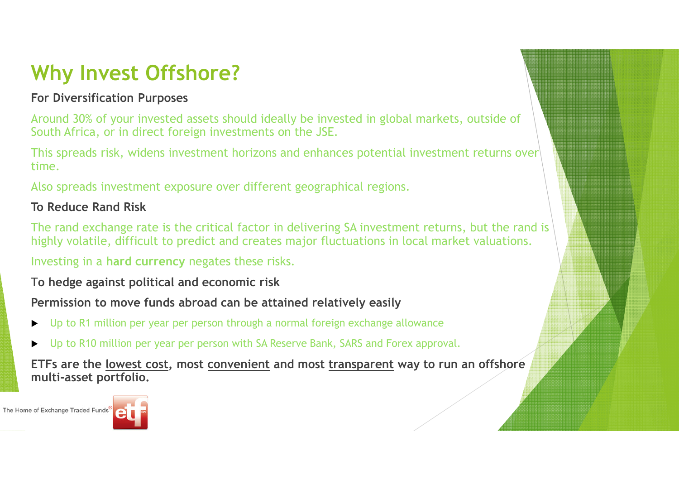# **Why Invest Offshore?**

#### **For Diversification Purposes**

Around 30% of your invested assets should ideally be invested in global markets, outside of South Africa, or in direct foreign investments on the JSE.

This spreads risk, widens investment horizons and enhances potential investment returns over time.

Also spreads investment exposure over different geographical regions.

#### **To Reduce Rand Risk**

The rand exchange rate is the critical factor in delivering SA investment returns, but the rand is highly volatile, difficult to predict and creates major fluctuations in local market valuations.

Investing in a **hard currency** negates these risks.

T**o hedge against political and economic risk**

**Permission to move funds abroad can be attained relatively easily**

- $\blacktriangleright$ Up to R1 million per year per person through a normal foreign exchange allowance
- ▶ Up to R10 million per year per person with SA Reserve Bank, SARS and Forex approval.

**ETFs are the lowest cost, most convenient and most transparent way to run an offshore multi-asset portfolio.** 



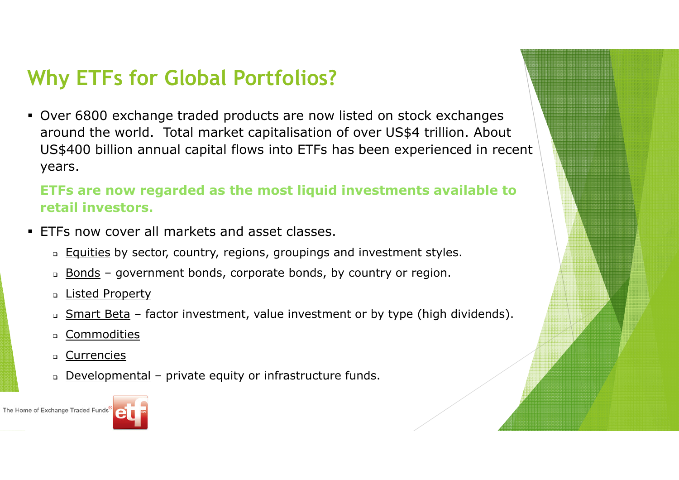## **Why ETFs for Global Portfolios?**

 Over 6800 exchange traded products are now listed on stock exchanges around the world. Total market capitalisation of over US\$4 trillion. About US\$400 billion annual capital flows into ETFs has been experienced in recent years.

#### **ETFs are now regarded as the most liquid investments available to retail investors.**

- ETFs now cover all markets and asset classes.
	- Equities by sector, country, regions, groupings and investment styles.
	- Bonds government bonds, corporate bonds, by country or region.
	- Listed Property
	- 0 Smart Beta – factor investment, value investment or by type (high dividends).
	- 0 Commodities
	- -Currencies
	- Developmental private equity or infrastructure funds.



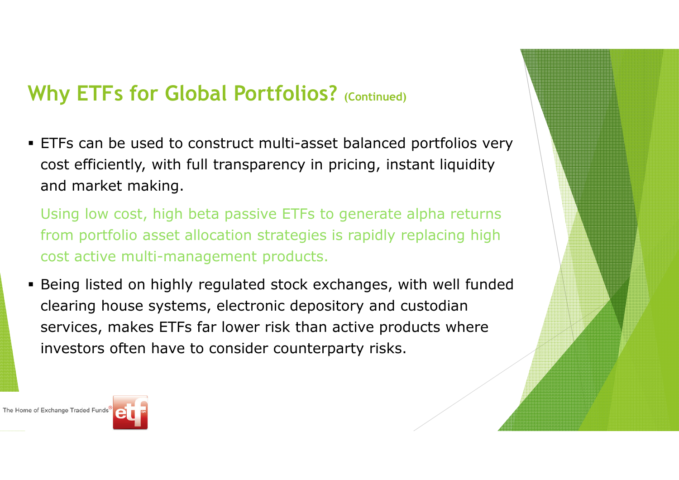## **Why ETFs for Global Portfolios? (Continued)**

 ETFs can be used to construct multi-asset balanced portfolios very cost efficiently, with full transparency in pricing, instant liquidity and market making.

 Using low cost, high beta passive ETFs to generate alpha returns from portfolio asset allocation strategies is rapidly replacing high cost active multi-management products.

 Being listed on highly regulated stock exchanges, with well funded clearing house systems, electronic depository and custodian services, makes ETFs far lower risk than active products where investors often have to consider counterparty risks.

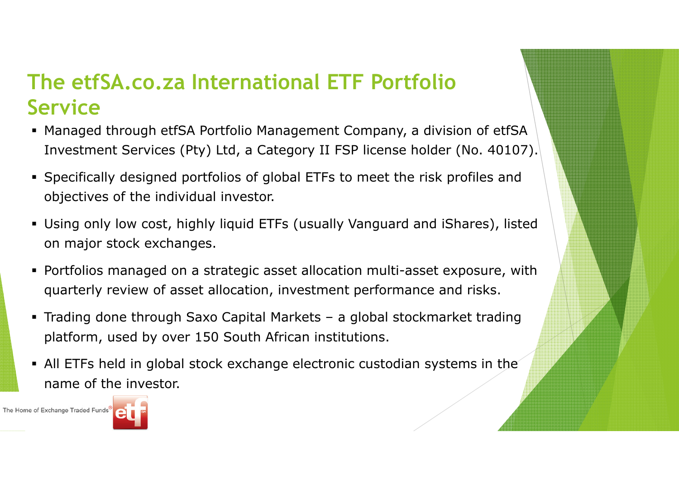### **The etfSA.co.za International ETF Portfolio Service**

- Managed through etfSA Portfolio Management Company, a division of etfSA Investment Services (Pty) Ltd, a Category II FSP license holder (No. 40107).
- Specifically designed portfolios of global ETFs to meet the risk profiles and objectives of the individual investor.
- Using only low cost, highly liquid ETFs (usually Vanguard and iShares), listed on major stock exchanges.
- Portfolios managed on a strategic asset allocation multi-asset exposure, with quarterly review of asset allocation, investment performance and risks.
- Trading done through Saxo Capital Markets a global stockmarket trading<br>150.6 ULAS platform, used by over 150 South African institutions.
- All ETFs held in global stock exchange electronic custodian systems in the name of the investor.

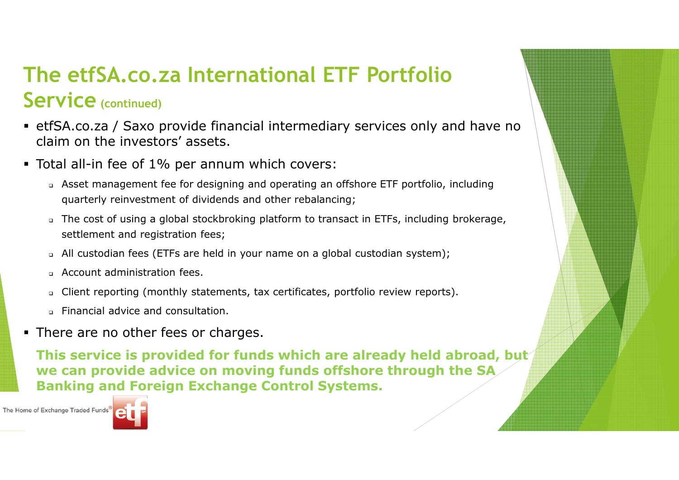### **The etfSA.co.za International ETF Portfolio Service(continued)**

- etfSA.co.za / Saxo provide financial intermediary services only and have no claim on the investors' assets.
- Total all-in fee of 1% per annum which covers:
	- Asset management fee for designing and operating an offshore ETF portfolio, including quarterly reinvestment of dividends and other rebalancing;
	- The cost of using a global stockbroking platform to transact in ETFs, including brokerage, settlement and registration fees;
	- All custodian fees (ETFs are held in your name on a global custodian system);
	- Account administration fees.
	- Client reporting (monthly statements, tax certificates, portfolio review reports).
	- Financial advice and consultation.
- **There are no other fees or charges.**

 **This service is provided for funds which are already held abroad, but we can provide advice on moving funds offshore through the SA Banking and Foreign Exchange Control Systems.** 

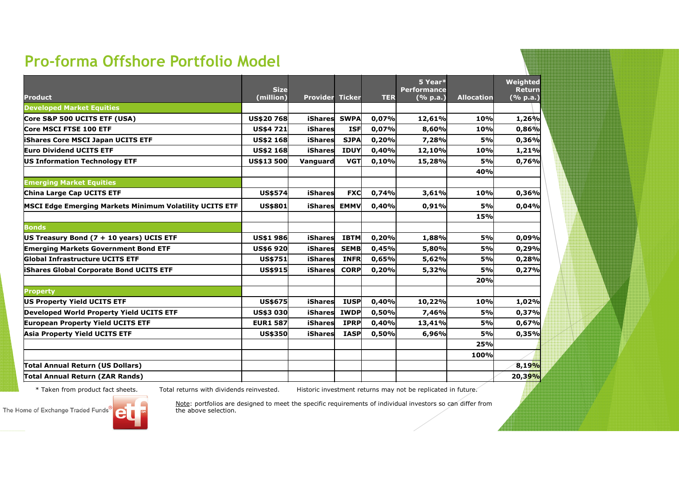### **Pro-forma Offshore Portfolio Model**

|                                                         | <b>Size</b>       |                        |             |            | 5 Year*<br><b>Performance</b> |                   | Weighted<br><b>Return</b> |
|---------------------------------------------------------|-------------------|------------------------|-------------|------------|-------------------------------|-------------------|---------------------------|
| <b>Product</b>                                          | (million)         | <b>Provider Ticker</b> |             | <b>TER</b> | ( % p.a.)                     | <b>Allocation</b> | (% p.a.)                  |
| <b>Developed Market Equities</b>                        |                   |                        |             |            |                               |                   |                           |
| Core S&P 500 UCITS ETF (USA)                            | <b>US\$20768</b>  | iShares                | <b>SWPA</b> | 0,07%      | 12,61%                        | 10%               | 1,26%                     |
| <b>Core MSCI FTSE 100 ETF</b>                           | <b>US\$4 721</b>  | iShares                | <b>ISF</b>  | 0,07%      | 8,60%                         | 10%               | 0,86%                     |
| <b>iShares Core MSCI Japan UCITS ETF</b>                | <b>US\$2 168</b>  | iShares                | <b>SJPA</b> | 0,20%      | 7,28%                         | 5%                | 0,36%                     |
| Euro Dividend UCITS ETF                                 | <b>US\$2 168</b>  | <b>iShares</b>         | <b>IDUY</b> | 0,40%      | 12,10%                        | <b>10%</b>        | 1,21%                     |
| US Information Technology ETF                           | <b>US\$13 500</b> | <b>Vanguard</b>        | <b>VGT</b>  | 0,10%      | 15,28%                        | 5%                | 0,76%                     |
|                                                         |                   |                        |             |            |                               | 40%               |                           |
| <b>Emerging Market Equities</b>                         |                   |                        |             |            |                               |                   |                           |
| China Large Cap UCITS ETF                               | <b>US\$574</b>    | <b>iShares</b>         | <b>FXC</b>  | 0,74%      | 3,61%                         | 10%               | 0,36%                     |
| MSCI Edge Emerging Markets Minimum Volatility UCITS ETF | <b>US\$801</b>    | iShares                | <b>EMMV</b> | 0,40%      | 0,91%                         | 5%                | 0,04%                     |
|                                                         |                   |                        |             |            |                               | 15%               |                           |
| <b>Bonds</b>                                            |                   |                        |             |            |                               |                   |                           |
| US Treasury Bond (7 + 10 years) UCIS ETF                | <b>US\$1 986</b>  | iShares                | <b>IBTM</b> | 0,20%      | 1,88%                         | 5%                | 0,09%                     |
| <b>Emerging Markets Government Bond ETF</b>             | <b>US\$6 920</b>  | iShares                | <b>SEMB</b> | 0,45%      | 5,80%                         | 5%                | 0,29%                     |
| <b>Global Infrastructure UCITS ETF</b>                  | US\$751           | iShares                | <b>INFR</b> | 0,65%      | 5,62%                         | 5%                | 0,28%                     |
| <b>iShares Global Corporate Bond UCITS ETF</b>          | <b>US\$915</b>    | iShares                | <b>CORP</b> | 0,20%      | 5,32%                         | 5%                | 0,27%                     |
|                                                         |                   |                        |             |            |                               | 20%               |                           |
| <b>Property</b>                                         |                   |                        |             |            |                               |                   |                           |
| US Property Yield UCITS ETF                             | US\$675           | iShares                | <b>IUSP</b> | 0,40%      | 10,22%                        | 10%               | 1,02%                     |
| Developed World Property Yield UCITS ETF                | US\$3 030         | <b>iShares</b>         | <b>IWDP</b> | 0,50%      | 7,46%                         | 5%                | 0,37%                     |
| <b>European Property Yield UCITS ETF</b>                | <b>EUR1 587</b>   | iShares                | <b>IPRP</b> | 0,40%      | 13,41%                        | 5%                | 0,67%                     |
| <b>Asia Property Yield UCITS ETF</b>                    | US\$350           | iShares                | <b>IASP</b> | 0,50%      | 6,96%                         | 5%                | 0,35%                     |
|                                                         |                   |                        |             |            |                               | 25%               |                           |
|                                                         |                   |                        |             |            |                               | 100%              |                           |
| Total Annual Return (US Dollars)                        |                   |                        |             |            |                               |                   | 8,19%                     |
| Total Annual Return (ZAR Rands)                         |                   |                        |             |            |                               |                   | 20,39%                    |

\* Taken from product fact sheets. Total returns with dividends reinvested. Historic investment returns may not be replicated in future.



Note: portfolios are designed to meet the specific requirements of individual investors so can differ from the above selection.